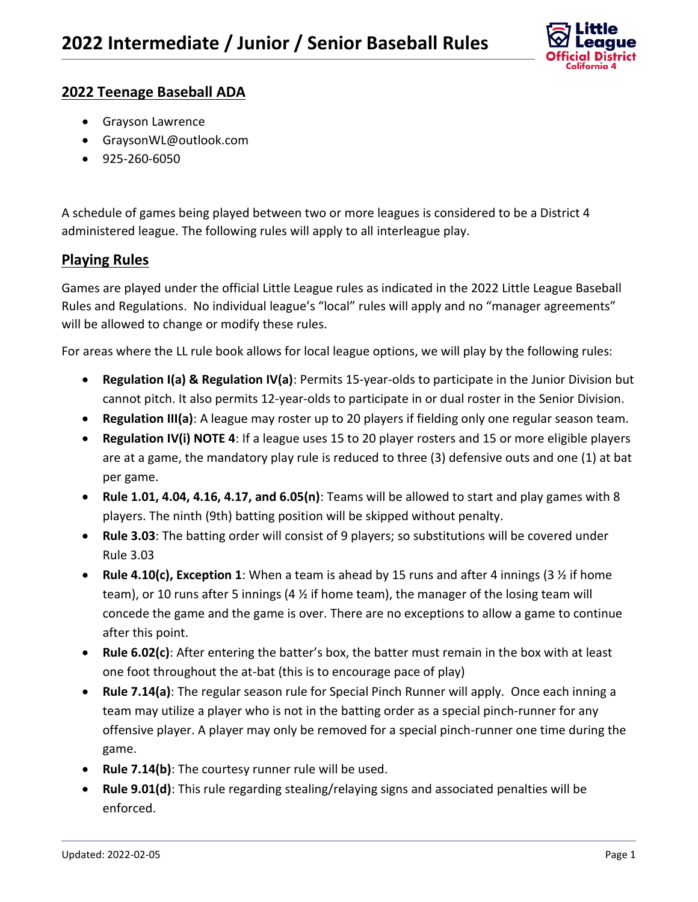

## **2022 Teenage Baseball ADA**

- Grayson Lawrence
- GraysonWL@outlook.com
- 925-260-6050

A schedule of games being played between two or more leagues is considered to be a District 4 administered league. The following rules will apply to all interleague play.

## **Playing Rules**

Games are played under the official Little League rules as indicated in the 2022 Little League Baseball Rules and Regulations. No individual league's "local" rules will apply and no "manager agreements" will be allowed to change or modify these rules.

For areas where the LL rule book allows for local league options, we will play by the following rules:

- **Regulation I(a) & Regulation IV(a)**: Permits 15-year-olds to participate in the Junior Division but cannot pitch. It also permits 12-year-olds to participate in or dual roster in the Senior Division.
- **Regulation III(a)**: A league may roster up to 20 players if fielding only one regular season team.
- **Regulation IV(i) NOTE 4**: If a league uses 15 to 20 player rosters and 15 or more eligible players are at a game, the mandatory play rule is reduced to three (3) defensive outs and one (1) at bat per game.
- **Rule 1.01, 4.04, 4.16, 4.17, and 6.05(n)**: Teams will be allowed to start and play games with 8 players. The ninth (9th) batting position will be skipped without penalty.
- **Rule 3.03**: The batting order will consist of 9 players; so substitutions will be covered under Rule 3.03
- **Rule 4.10(c), Exception 1**: When a team is ahead by 15 runs and after 4 innings (3 ½ if home team), or 10 runs after 5 innings (4 ½ if home team), the manager of the losing team will concede the game and the game is over. There are no exceptions to allow a game to continue after this point.
- **Rule 6.02(c)**: After entering the batter's box, the batter must remain in the box with at least one foot throughout the at-bat (this is to encourage pace of play)
- **Rule 7.14(a)**: The regular season rule for Special Pinch Runner will apply. Once each inning a team may utilize a player who is not in the batting order as a special pinch-runner for any offensive player. A player may only be removed for a special pinch-runner one time during the game.
- **Rule 7.14(b)**: The courtesy runner rule will be used.
- **Rule 9.01(d)**: This rule regarding stealing/relaying signs and associated penalties will be enforced.